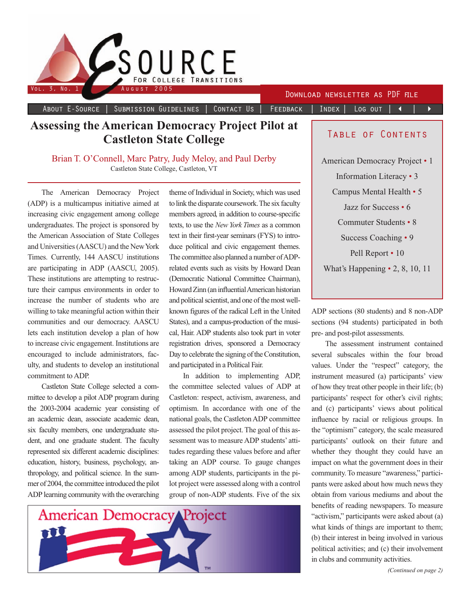

About E-Source | Submission Guidelines | Contact Us | Feedback | Index | Log out | ◀ | ▶

## **Assessing the American Democracy Project Pilot at Castleton State College**

Brian T. O'Connell, Marc Patry, Judy Meloy, and Paul Derby Castleton State College, Castleton, VT

The American Democracy Project (ADP) is a multicampus initiative aimed at increasing civic engagement among college undergraduates. The project is sponsored by the American Association of State Colleges and Universities (AASCU) and the New York Times. Currently, 144 AASCU institutions are participating in ADP (AASCU, 2005). These institutions are attempting to restructure their campus environments in order to increase the number of students who are willing to take meaningful action within their communities and our democracy. AASCU lets each institution develop a plan of how to increase civic engagement. Institutions are encouraged to include administrators, faculty, and students to develop an institutional commitment to ADP.

Castleton State College selected a committee to develop a pilot ADP program during the 2003-2004 academic year consisting of an academic dean, associate academic dean, six faculty members, one undergraduate student, and one graduate student. The faculty represented six different academic disciplines: education, history, business, psychology, anthropology, and political science. In the summer of 2004, the committee introduced the pilot ADP learning community with the overarching

theme of Individual in Society, which was used to link the disparate coursework. The six faculty members agreed, in addition to course-specific texts, to use the *New York Times* as a common text in their first-year seminars (FYS) to introduce political and civic engagement themes. The committee also planned a number of ADPrelated events such as visits by Howard Dean (Democratic National Committee Chairman), Howard Zinn (an influential American historian and political scientist, and one of the most wellknown figures of the radical Left in the United States), and a campus-production of the musical, Hair. ADP students also took part in voter registration drives, sponsored a Democracy Day to celebrate the signing of the Constitution, and participated in a Political Fair.

In addition to implementing ADP, the committee selected values of ADP at Castleton: respect, activism, awareness, and optimism. In accordance with one of the national goals, the Castleton ADP committee assessed the pilot project. The goal of this assessment was to measure ADP students' attitudes regarding these values before and after taking an ADP course. To gauge changes among ADP students, participants in the pilot project were assessed along with a control group of non-ADP students. Five of the six



### Table of Contents

American Democracy Project • 1 Information Literacy • 3 Campus Mental Health • 5 Jazz for Success • 6 Commuter Students • 8 Success Coaching • 9 Pell Report • 10 What's Happening • 2, 8, 10, 11

ADP sections (80 students) and 8 non-ADP sections (94 students) participated in both pre- and post-pilot assessments.

The assessment instrument contained several subscales within the four broad values. Under the "respect" category, the instrument measured (a) participants' view of how they treat other people in their life; (b) participants' respect for other's civil rights; and (c) participants' views about political influence by racial or religious groups. In the "optimism" category, the scale measured participants' outlook on their future and whether they thought they could have an impact on what the government does in their community. To measure "awareness," participants were asked about how much news they obtain from various mediums and about the benefits of reading newspapers. To measure "activism," participants were asked about (a) what kinds of things are important to them; (b) their interest in being involved in various political activities; and (c) their involvement in clubs and community activities.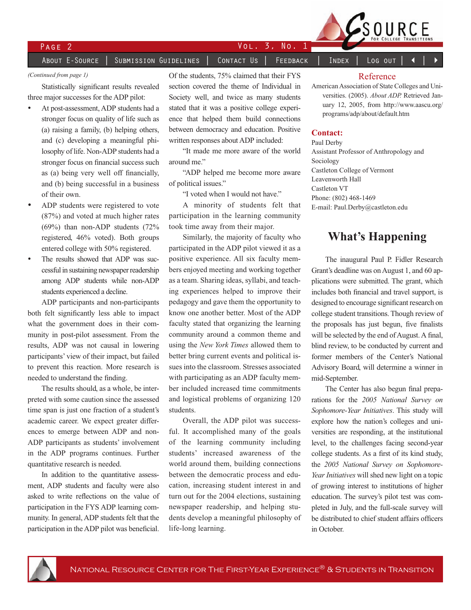

# PAGE 2 VOL. 3, No. 1

### About E-Source | Submission Guidelines | Contact Us | Feedback | Index | Log out

### *(Continued from page 1)*

Statistically significant results revealed three major successes for the ADP pilot:

- At post-assessment, ADP students had a stronger focus on quality of life such as (a) raising a family, (b) helping others, and (c) developing a meaningful philosophy of life. Non-ADP students had a stronger focus on financial success such as (a) being very well off financially, and (b) being successful in a business of their own.
- ADP students were registered to vote (87%) and voted at much higher rates (69%) than non-ADP students (72% registered, 46% voted). Both groups entered college with 50% registered.
- The results showed that ADP was successful in sustaining newspaper readership among ADP students while non-ADP students experienced a decline.

ADP participants and non-participants both felt significantly less able to impact what the government does in their community in post-pilot assessment. From the results, ADP was not causal in lowering participants' view of their impact, but failed to prevent this reaction. More research is needed to understand the finding.

The results should, as a whole, be interpreted with some caution since the assessed time span is just one fraction of a student's academic career. We expect greater differences to emerge between ADP and non-ADP participants as students' involvement in the ADP programs continues. Further quantitative research is needed.

In addition to the quantitative assessment, ADP students and faculty were also asked to write reflections on the value of participation in the FYS ADP learning community. In general, ADP students felt that the participation in the ADP pilot was beneficial.

Of the students, 75% claimed that their FYS section covered the theme of Individual in Society well, and twice as many students stated that it was a positive college experience that helped them build connections between democracy and education. Positive written responses about ADP included:

"It made me more aware of the world around me."

"ADP helped me become more aware of political issues."

"I voted when I would not have."

A minority of students felt that participation in the learning community took time away from their major.

Similarly, the majority of faculty who participated in the ADP pilot viewed it as a positive experience. All six faculty members enjoyed meeting and working together as a team. Sharing ideas, syllabi, and teaching experiences helped to improve their pedagogy and gave them the opportunity to know one another better. Most of the ADP faculty stated that organizing the learning community around a common theme and using the *New York Times* allowed them to better bring current events and political issues into the classroom. Stresses associated with participating as an ADP faculty member included increased time commitments and logistical problems of organizing 120 students.

Overall, the ADP pilot was successful. It accomplished many of the goals of the learning community including students' increased awareness of the world around them, building connections between the democratic process and education, increasing student interest in and turn out for the 2004 elections, sustaining newspaper readership, and helping students develop a meaningful philosophy of life-long learning.

### Reference

American Association of State Colleges and Universities. (2005). *About ADP.* Retrieved January 12, 2005, from http://www.aascu.org/ programs/adp/about/default.htm

### **Contact:**

Paul Derby Assistant Professor of Anthropology and Sociology Castleton College of Vermont Leavenworth Hall Castleton VT Phone: (802) 468-1469 E-mail: Paul.Derby@castleton.edu

## **What's Happening**

The inaugural Paul P. Fidler Research Grant's deadline was on August 1, and 60 applications were submitted. The grant, which includes both financial and travel support, is designed to encourage significant research on college student transitions. Though review of the proposals has just begun, five finalists will be selected by the end of August. A final, blind review, to be conducted by current and former members of the Center's National Advisory Board, will determine a winner in mid-September.

The Center has also begun final preparations for the *2005 National Survey on Sophomore-Year Initiatives*. This study will explore how the nation's colleges and universities are responding, at the institutional level, to the challenges facing second-year college students. As a first of its kind study, the *2005 National Survey on Sophomore-Year Initiatives* will shed new light on a topic of growing interest to institutions of higher education. The survey's pilot test was completed in July, and the full-scale survey will be distributed to chief student affairs officers in October.

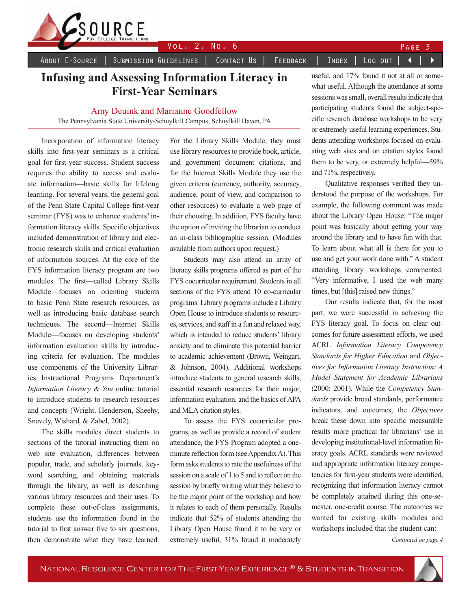

About E–Source │ Submission Guidelines │ Contact Us │ Feedback │ Index │ Log out │ ◀

## **Infusing and Assessing Information Literacy in First-Year Seminars**

### Amy Deuink and Marianne Goodfellow

The Pennsylvania State University-Schuylkill Campus, Schuylkill Haven, PA

Incorporation of information literacy skills into first-year seminars is a critical goal for first-year success. Student success requires the ability to access and evaluate information—basic skills for lifelong learning. For several years, the general goal of the Penn State Capital College first-year seminar (FYS) was to enhance students' information literacy skills. Specific objectives included demonstration of library and electronic research skills and critical evaluation of information sources. At the core of the FYS information literacy program are two modules. The first—called Library Skills Module—focuses on orienting students to basic Penn State research resources, as well as introducing basic database search techniques. The second—Internet Skills Module—focuses on developing students' information evaluation skills by introducing criteria for evaluation. The modules use components of the University Libraries Instructional Programs Department's *Information Literacy & You* online tutorial to introduce students to research resources and concepts (Wright, Henderson, Sheehy, Snavely, Wishard, & Zabel, 2002).

The skills modules direct students to sections of the tutorial instructing them on web site evaluation, differences between popular, trade, and scholarly journals, keyword searching, and obtaining materials through the library, as well as describing various library resources and their uses. To complete these out-of-class assignments, students use the information found in the tutorial to first answer five to six questions, then demonstrate what they have learned.

For the Library Skills Module, they must use library resources to provide book, article, and government document citations, and for the Internet Skills Module they use the given criteria (currency, authority, accuracy, audience, point of view, and comparison to other resources) to evaluate a web page of their choosing. In addition, FYS faculty have the option of inviting the librarian to conduct an in-class bibliographic session. (Modules available from authors upon request.)

Students may also attend an array of literacy skills programs offered as part of the FYS cocurricular requirement. Students in all sections of the FYS attend 10 co-curricular programs. Library programs include a Library Open House to introduce students to resources, services, and staff in a fun and relaxed way, which is intended to reduce students' library anxiety and to eliminate this potential barrier to academic achievement (Brown, Weingart, & Johnson, 2004). Additional workshops introduce students to general research skills, essential research resources for their major, information evaluation, and the basics of APA and MLA citation styles.

To assess the FYS cocurricular programs, as well as provide a record of student attendance, the FYS Program adopted a oneminute reflection form (see Appendix A). This form asks students to rate the usefulness of the session on a scale of 1 to 5 and to reflect on the session by briefly writing what they believe to be the major point of the workshop and how it relates to each of them personally. Results indicate that 52% of students attending the Library Open House found it to be very or extremely useful, 31% found it moderately

useful, and 17% found it not at all or somewhat useful. Although the attendance at some sessions was small, overall results indicate that participating students found the subject-specific research database workshops to be very or extremely useful learning experiences. Students attending workshops focused on evaluating web sites and on citation styles found them to be very, or extremely helpful—59% and 71%, respectively.

Qualitative responses verified they understood the purpose of the workshops. For example, the following comment was made about the Library Open House: "The major point was basically about getting your way around the library and to have fun with that. To learn about what all is there for you to use and get your work done with." A student attending library workshops commented: "Very informative, I used the web many times, but [this] raised new things."

Our results indicate that, for the most part, we were successful in achieving the FYS literacy goal. To focus on clear outcomes for future assessment efforts, we used ACRL *Information Literacy Competency Standards for Higher Education* and *Objectives for Information Literacy Instruction: A Model Statement for Academic Librarians* (2000; 2001). While the *Competency Standards* provide broad standards, performance indicators, and outcomes, the *Objectives* break these down into specific measurable results more practical for librarians' use in developing institutional-level information literacy goals. ACRL standards were reviewed and appropriate information literacy competencies for first-year students were identified, recognizing that information literacy cannot be completely attained during this one-semester, one-credit course. The outcomes we wanted for existing skills modules and workshops included that the student can:

*Continued on page 4*

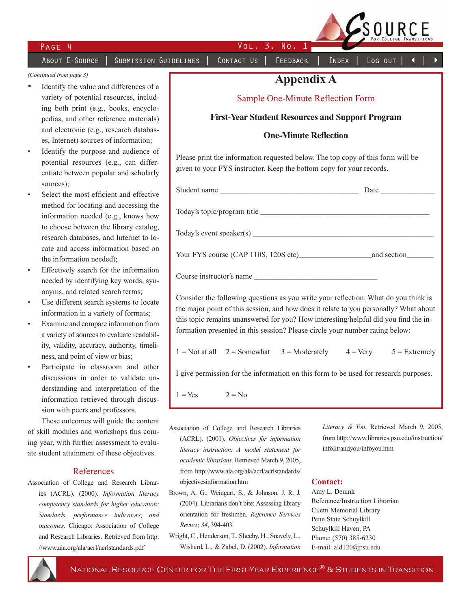PAGE 4 VOL. 3, No. 1

ABOUT E-SOURCE | SUBMISSION GUIDELINES | CONTACT US | FEEDBACK | INDEX | LOG OUT

SOURCE

### *(Continued from page 3)*

- Identify the value and differences of a variety of potential resources, including both print (e.g., books, encyclopedias, and other reference materials) and electronic (e.g., research databases, Internet) sources of information;
- Identify the purpose and audience of potential resources (e.g., can differentiate between popular and scholarly sources);
- Select the most efficient and effective method for locating and accessing the information needed (e.g., knows how to choose between the library catalog, research databases, and Internet to locate and access information based on the information needed);
- Effectively search for the information needed by identifying key words, synonyms, and related search terms;
- Use different search systems to locate information in a variety of formats;
- Examine and compare information from a variety of sources to evaluate readability, validity, accuracy, authority, timeliness, and point of view or bias;
- Participate in classroom and other discussions in order to validate understanding and interpretation of the information retrieved through discussion with peers and professors.

These outcomes will guide the content of skill modules and workshops this coming year, with further assessment to evaluate student attainment of these objectives.

### References

Association of College and Research Libraries (ACRL). (2000). *Information literacy competency standards for higher education: Standards, performance indicators, and outcomes.* Chicago: Association of College and Research Libraries. Retrieved from http: //www.ala.org/ala/acrl/acrlstandards.pdf

## **Appendix A**

### Sample One-Minute Reflection Form

**First-Year Student Resources and Support Program** 

### **One-Minute Reflection**

Please print the information requested below. The top copy of this form will be given to your FYS instructor. Keep the bottom copy for your records.

| Student name                                                                                                                                                                 |  |
|------------------------------------------------------------------------------------------------------------------------------------------------------------------------------|--|
| Today's topic/program title                                                                                                                                                  |  |
|                                                                                                                                                                              |  |
|                                                                                                                                                                              |  |
| Course instructor's name                                                                                                                                                     |  |
| Consider the following questions as you write your reflection: What do you think is<br>the major point of this session, and how does it relate to you personally? What about |  |
| this topic remains unanswered for you? How interesting/helpful did you find the in-                                                                                          |  |
| formation presented in this session? Please circle your number rating below:                                                                                                 |  |

 $1 = Not at all$   $2 = Somewhat$   $3 = Modernately$   $4 = Very$   $5 = Extremely$ 

I give permission for the information on this form to be used for research purposes.

 $1 = Yes$   $2 = No$ 

- Association of College and Research Libraries (ACRL). (2001). *Objectives for information literacy instruction: A model statement for academic librarians.* Retrieved March 9, 2005, from http://www.ala.org/ala/acrl/acrlstandards/ objectivesinformation.htm
- Brown, A. G., Weingart, S., & Johnson, J. R. J. (2004). Librarians don't bite: Assessing library orientation for freshmen. *Reference Services Review, 34*, 394-403.
- Wright, C., Henderson, T., Sheehy, H., Snavely, L., Wishard, L., & Zabel, D. (2002). *Information*

*Literacy & You.* Retrieved March 9, 2005, from http://www.libraries.psu.edu/instruction/ infolit/andyou/infoyou.htm

### **Contact:**

Amy L. Deuink Reference/Instruction Librarian Ciletti Memorial Library Penn State Schuylkill Schuylkill Haven, PA Phone: (570) 385-6230 E-mail: ald120@psu.edu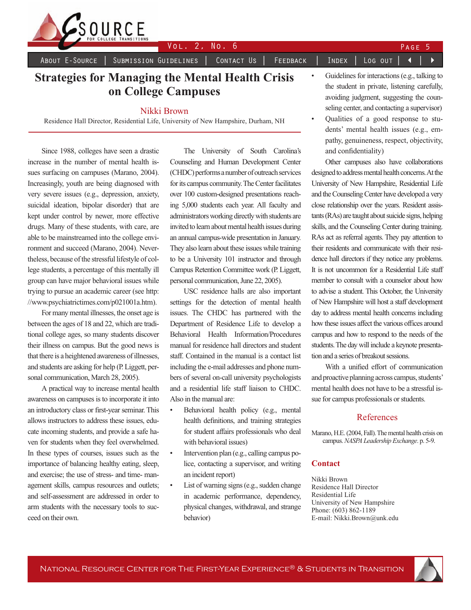

About E–Source │ Submission Guidelines │ Contact Us │ Feedback │ Index │ Log out │ ◀

## **Strategies for Managing the Mental Health Crisis on College Campuses**

### Nikki Brown

Residence Hall Director, Residential Life, University of New Hampshire, Durham, NH

Since 1988, colleges have seen a drastic increase in the number of mental health issues surfacing on campuses (Marano, 2004). Increasingly, youth are being diagnosed with very severe issues (e.g., depression, anxiety, suicidal ideation, bipolar disorder) that are kept under control by newer, more effective drugs. Many of these students, with care, are able to be mainstreamed into the college environment and succeed (Marano, 2004). Nevertheless, because of the stressful lifestyle of college students, a percentage of this mentally ill group can have major behavioral issues while trying to pursue an academic career (see http: //www.psychiatrictimes.com/p021001a.htm).

For many mental illnesses, the onset age is between the ages of 18 and 22, which are traditional college ages, so many students discover their illness on campus. But the good news is that there is a heightened awareness of illnesses, and students are asking for help (P. Liggett, personal communication, March 28, 2005).

A practical way to increase mental health awareness on campuses is to incorporate it into an introductory class or first-year seminar. This allows instructors to address these issues, educate incoming students, and provide a safe haven for students when they feel overwhelmed. In these types of courses, issues such as the importance of balancing healthy eating, sleep, and exercise; the use of stress- and time- management skills, campus resources and outlets; and self-assessment are addressed in order to arm students with the necessary tools to succeed on their own.

The University of South Carolina's Counseling and Human Development Center (CHDC) performs a number of outreach services for its campus community. The Center facilitates over 100 custom-designed presentations reaching 5,000 students each year. All faculty and administrators working directly with students are invited to learn about mental health issues during an annual campus-wide presentation in January. They also learn about these issues while training to be a University 101 instructor and through Campus Retention Committee work (P. Liggett, personal communication, June 22, 2005).

USC residence halls are also important settings for the detection of mental health issues. The CHDC has partnered with the Department of Residence Life to develop a Behavioral Health Information/Procedures manual for residence hall directors and student staff. Contained in the manual is a contact list including the e-mail addresses and phone numbers of several on-call university psychologists and a residential life staff liaison to CHDC. Also in the manual are:

- Behavioral health policy (e.g., mental health definitions, and training strategies for student affairs professionals who deal with behavioral issues)
- Intervention plan (e.g., calling campus police, contacting a supervisor, and writing an incident report)
- List of warning signs (e.g., sudden change in academic performance, dependency, physical changes, withdrawal, and strange behavior)
- Guidelines for interactions (e.g., talking to the student in private, listening carefully, avoiding judgment, suggesting the counseling center, and contacting a supervisor)
- Qualities of a good response to students' mental health issues (e.g., empathy, genuineness, respect, objectivity, and confidentiality)

Other campuses also have collaborations designed to address mental health concerns. At the University of New Hampshire, Residential Life and the Counseling Center have developed a very close relationship over the years. Resident assistants (RAs) are taught about suicide signs, helping skills, and the Counseling Center during training. RAs act as referral agents. They pay attention to their residents and communicate with their residence hall directors if they notice any problems. It is not uncommon for a Residential Life staff member to consult with a counselor about how to advise a student. This October, the University of New Hampshire will host a staff development day to address mental health concerns including how these issues affect the various offices around campus and how to respond to the needs of the students. The day will include a keynote presentation and a series of breakout sessions.

With a unified effort of communication and proactive planning across campus, students' mental health does not have to be a stressful issue for campus professionals or students.

### References

Marano, H.E. (2004, Fall). The mental health crisis on campus. *NASPA Leadership Exchange*. p. 5-9.

### **Contact**

Nikki Brown Residence Hall Director Residential Life University of New Hampshire Phone: (603) 862-1189 E-mail: Nikki.Brown@unk.edu

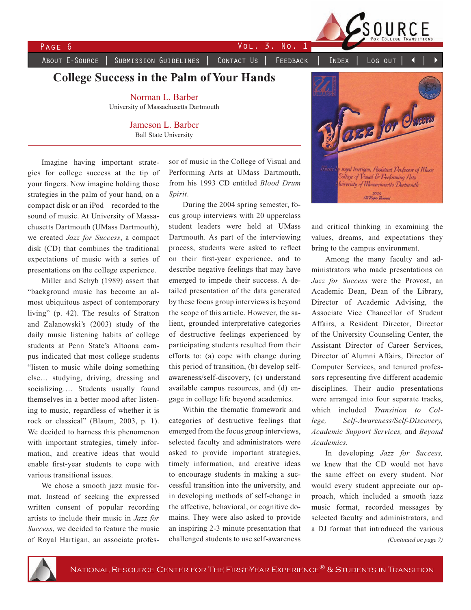

PAGE 6 VOL. 3, No. 1

About E-Source | Submission Guidelines | Contact Us | Feedback | Index | Log out

**College Success in the Palm of Your Hands**

Norman L. Barber University of Massachusetts Dartmouth

> Jameson L. Barber Ball State University

Imagine having important strategies for college success at the tip of your fingers. Now imagine holding those strategies in the palm of your hand, on a compact disk or an iPod—recorded to the sound of music. At University of Massachusetts Dartmouth (UMass Dartmouth), we created *Jazz for Success*, a compact disk (CD) that combines the traditional expectations of music with a series of presentations on the college experience.

Miller and Schyb (1989) assert that "background music has become an almost ubiquitous aspect of contemporary living" (p. 42). The results of Stratton and Zalanowski's (2003) study of the daily music listening habits of college students at Penn State's Altoona campus indicated that most college students "listen to music while doing something else… studying, driving, dressing and socializing…. Students usually found themselves in a better mood after listening to music, regardless of whether it is rock or classical" (Blaum, 2003, p. 1). We decided to harness this phenomenon with important strategies, timely information, and creative ideas that would enable first-year students to cope with various transitional issues.

We chose a smooth jazz music format. Instead of seeking the expressed written consent of popular recording artists to include their music in *Jazz for Success*, we decided to feature the music of Royal Hartigan, an associate professor of music in the College of Visual and Performing Arts at UMass Dartmouth, from his 1993 CD entitled *Blood Drum Spirit*.

During the 2004 spring semester, focus group interviews with 20 upperclass student leaders were held at UMass Dartmouth. As part of the interviewing process, students were asked to reflect on their first-year experience, and to describe negative feelings that may have emerged to impede their success. A detailed presentation of the data generated by these focus group interviews is beyond the scope of this article. However, the salient, grounded interpretative categories of destructive feelings experienced by participating students resulted from their efforts to: (a) cope with change during this period of transition, (b) develop selfawareness/self-discovery, (c) understand available campus resources, and (d) engage in college life beyond academics.

Within the thematic framework and categories of destructive feelings that emerged from the focus group interviews, selected faculty and administrators were asked to provide important strategies, timely information, and creative ideas to encourage students in making a successful transition into the university, and in developing methods of self-change in the affective, behavioral, or cognitive domains. They were also asked to provide an inspiring 2-3 minute presentation that challenged students to use self-awareness



and critical thinking in examining the values, dreams, and expectations they bring to the campus environment.

Among the many faculty and administrators who made presentations on *Jazz for Success* were the Provost, an Academic Dean, Dean of the Library, Director of Academic Advising, the Associate Vice Chancellor of Student Affairs, a Resident Director, Director of the University Counseling Center, the Assistant Director of Career Services, Director of Alumni Affairs, Director of Computer Services, and tenured professors representing five different academic disciplines. Their audio presentations were arranged into four separate tracks, which included *Transition to College, Self-Awareness/Self-Discovery, Academic Support Services,* and *Beyond Academics.*

In developing *Jazz for Success,* we knew that the CD would not have the same effect on every student. Nor would every student appreciate our approach, which included a smooth jazz music format, recorded messages by selected faculty and administrators, and a DJ format that introduced the various *(Continued on page 7)*

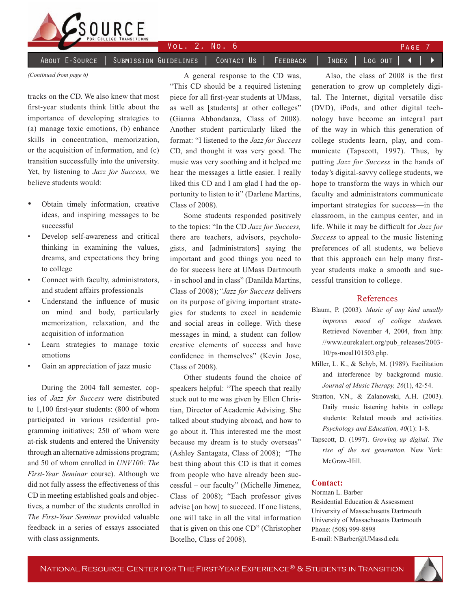

### About E-Source │ Submission Guidelines │ Contact Us │ Feedback │ Index │ Log out │ ◀

*(Continued from page 6)*

tracks on the CD. We also knew that most first-year students think little about the importance of developing strategies to (a) manage toxic emotions, (b) enhance skills in concentration, memorization, or the acquisition of information, and (c) transition successfully into the university. Yet, by listening to *Jazz for Success,* we believe students would:

- Obtain timely information, creative ideas, and inspiring messages to be successful
- Develop self-awareness and critical thinking in examining the values, dreams, and expectations they bring to college
- Connect with faculty, administrators, and student affairs professionals
- Understand the influence of music on mind and body, particularly memorization, relaxation, and the acquisition of information
- Learn strategies to manage toxic emotions
- Gain an appreciation of jazz music

During the 2004 fall semester, copies of *Jazz for Success* were distributed to 1,100 first-year students: (800 of whom participated in various residential programming initiatives; 250 of whom were at-risk students and entered the University through an alternative admissions program; and 50 of whom enrolled in *UNV100: The First-Year Seminar* course). Although we did not fully assess the effectiveness of this CD in meeting established goals and objectives, a number of the students enrolled in *The First-Year Seminar* provided valuable feedback in a series of essays associated with class assignments.

A general response to the CD was, "This CD should be a required listening piece for all first-year students at UMass, as well as [students] at other colleges" (Gianna Abbondanza, Class of 2008). Another student particularly liked the format: "I listened to the *Jazz for Success* CD, and thought it was very good. The music was very soothing and it helped me hear the messages a little easier. I really liked this CD and I am glad I had the opportunity to listen to it" (Darlene Martins, Class of 2008).

Some students responded positively to the topics: "In the CD *Jazz for Success,*  there are teachers, advisors, psychologists, and [administrators] saying the important and good things you need to do for success here at UMass Dartmouth - in school and in class" (Danilda Martins, Class of 2008);*"Jazz for Success* delivers on its purpose of giving important strategies for students to excel in academic and social areas in college. With these messages in mind, a student can follow creative elements of success and have confidence in themselves" (Kevin Jose, Class of 2008).

Other students found the choice of speakers helpful: "The speech that really stuck out to me was given by Ellen Christian, Director of Academic Advising. She talked about studying abroad, and how to go about it. This interested me the most because my dream is to study overseas" (Ashley Santagata, Class of 2008); "The best thing about this CD is that it comes from people who have already been successful – our faculty" (Michelle Jimenez, Class of 2008); "Each professor gives advise [on how] to succeed. If one listens, one will take in all the vital information that is given on this one CD" (Christopher Botelho, Class of 2008).

Also, the class of 2008 is the first generation to grow up completely digital. The Internet, digital versatile disc (DVD), iPods, and other digital technology have become an integral part of the way in which this generation of college students learn, play, and communicate (Tapscott, 1997). Thus, by putting *Jazz for Success* in the hands of today's digital-savvy college students, we hope to transform the ways in which our faculty and administrators communicate important strategies for success—in the classroom, in the campus center, and in life. While it may be difficult for *Jazz for Success* to appeal to the music listening preferences of all students, we believe that this approach can help many firstyear students make a smooth and successful transition to college.

### References

- Blaum, P. (2003). *Music of any kind usually improves mood of college students.*  Retrieved November 4, 2004, from http: //www.eurekalert.org/pub\_releases/2003- 10/ps-moal101503.php.
- Miller, L. K., & Schyb, M. (1989). Facilitation and interference by background music. *Journal of Music Therapy, 26*(1), 42-54.
- Stratton, V.N., & Zalanowski, A.H. (2003). Daily music listening habits in college students: Related moods and activities. *Psychology and Education, 40*(1): 1-8.
- Tapscott, D. (1997). *Growing up digital: The rise of the net generation.* New York: McGraw-Hill.

### **Contact:**

Norman L. Barber Residential Education & Assessment University of Massachusetts Dartmouth University of Massachusetts Dartmouth Phone: (508) 999-8898 E-mail: NBarber@UMassd.edu

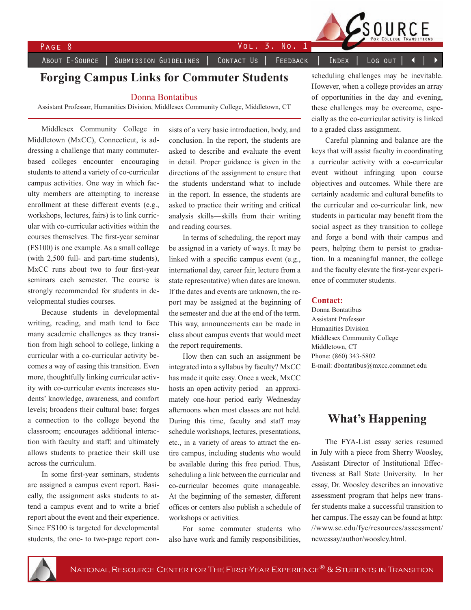

PAGE 8 VOL. 3, No. 1

ABOUT E-SOURCE | SUBMISSION GUIDELINES | CONTACT US | FEEDBACK | INDEX | LOG OUT

## **Forging Campus Links for Commuter Students**

### Donna Bontatibus

Assistant Professor, Humanities Division, Middlesex Community College, Middletown, CT

Middlesex Community College in Middletown (MxCC), Connecticut, is addressing a challenge that many commuterbased colleges encounter—encouraging students to attend a variety of co-curricular campus activities. One way in which faculty members are attempting to increase enrollment at these different events (e.g., workshops, lectures, fairs) is to link curricular with co-curricular activities within the courses themselves. The first-year seminar (FS100) is one example. As a small college (with 2,500 full- and part-time students), MxCC runs about two to four first-year seminars each semester. The course is strongly recommended for students in developmental studies courses.

Because students in developmental writing, reading, and math tend to face many academic challenges as they transition from high school to college, linking a curricular with a co-curricular activity becomes a way of easing this transition. Even more, thoughtfully linking curricular activity with co-curricular events increases students' knowledge, awareness, and comfort levels; broadens their cultural base; forges a connection to the college beyond the classroom; encourages additional interaction with faculty and staff; and ultimately allows students to practice their skill use across the curriculum.

In some first-year seminars, students are assigned a campus event report. Basically, the assignment asks students to attend a campus event and to write a brief report about the event and their experience. Since FS100 is targeted for developmental students, the one- to two-page report consists of a very basic introduction, body, and conclusion. In the report, the students are asked to describe and evaluate the event in detail. Proper guidance is given in the directions of the assignment to ensure that the students understand what to include in the report. In essence, the students are asked to practice their writing and critical analysis skills—skills from their writing and reading courses.

In terms of scheduling, the report may be assigned in a variety of ways. It may be linked with a specific campus event (e.g., international day, career fair, lecture from a state representative) when dates are known. If the dates and events are unknown, the report may be assigned at the beginning of the semester and due at the end of the term. This way, announcements can be made in class about campus events that would meet the report requirements.

How then can such an assignment be integrated into a syllabus by faculty? MxCC has made it quite easy. Once a week, MxCC hosts an open activity period—an approximately one-hour period early Wednesday afternoons when most classes are not held. During this time, faculty and staff may schedule workshops, lectures, presentations, etc., in a variety of areas to attract the entire campus, including students who would be available during this free period. Thus, scheduling a link between the curricular and co-curricular becomes quite manageable. At the beginning of the semester, different offices or centers also publish a schedule of workshops or activities.

For some commuter students who also have work and family responsibilities,

scheduling challenges may be inevitable. However, when a college provides an array of opportunities in the day and evening, these challenges may be overcome, especially as the co-curricular activity is linked to a graded class assignment.

SOURCE

Careful planning and balance are the keys that will assist faculty in coordinating a curricular activity with a co-curricular event without infringing upon course objectives and outcomes. While there are certainly academic and cultural benefits to the curricular and co-curricular link, new students in particular may benefit from the social aspect as they transition to college and forge a bond with their campus and peers, helping them to persist to graduation. In a meaningful manner, the college and the faculty elevate the first-year experience of commuter students.

### **Contact:**

Donna Bontatibus Assistant Professor Humanities Division Middlesex Community College Middletown, CT Phone: (860) 343-5802 E-mail: dbontatibus@mxcc.commnet.edu

## **What's Happening**

The FYA-List essay series resumed in July with a piece from Sherry Woosley, Assistant Director of Institutional Effectiveness at Ball State University. In her essay, Dr. Woosley describes an innovative assessment program that helps new transfer students make a successful transition to her campus. The essay can be found at http: //www.sc.edu/fye/resources/assessment/ newessay/author/woosley.html.

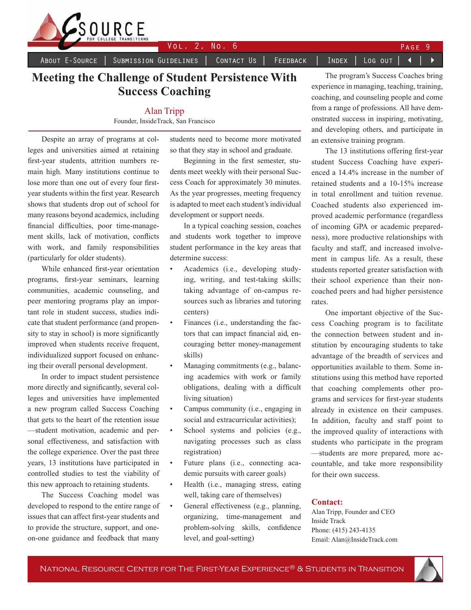

About E-Source │ Submission Guidelines │ Contact Us │ Feedback │ Index │ Log out │ ◀

## **Meeting the Challenge of Student Persistence With Success Coaching**

### Alan Tripp Founder, InsideTrack, San Francisco

Despite an array of programs at colleges and universities aimed at retaining first-year students, attrition numbers remain high. Many institutions continue to lose more than one out of every four firstyear students within the first year. Research shows that students drop out of school for many reasons beyond academics, including financial difficulties, poor time-management skills, lack of motivation, conflicts with work, and family responsibilities (particularly for older students).

While enhanced first-year orientation programs, first-year seminars, learning communities, academic counseling, and peer mentoring programs play an important role in student success, studies indicate that student performance (and propensity to stay in school) is more significantly improved when students receive frequent, individualized support focused on enhancing their overall personal development.

In order to impact student persistence more directly and significantly, several colleges and universities have implemented a new program called Success Coaching that gets to the heart of the retention issue —student motivation, academic and personal effectiveness, and satisfaction with the college experience. Over the past three years, 13 institutions have participated in controlled studies to test the viability of this new approach to retaining students.

The Success Coaching model was developed to respond to the entire range of issues that can affect first-year students and to provide the structure, support, and oneon-one guidance and feedback that many students need to become more motivated so that they stay in school and graduate.

Beginning in the first semester, students meet weekly with their personal Success Coach for approximately 30 minutes. As the year progresses, meeting frequency is adapted to meet each student's individual development or support needs.

In a typical coaching session, coaches and students work together to improve student performance in the key areas that determine success:

- Academics (i.e., developing studying, writing, and test-taking skills; taking advantage of on-campus resources such as libraries and tutoring centers)
- Finances (i.e., understanding the factors that can impact financial aid, encouraging better money-management skills)
- Managing commitments (e.g., balancing academics with work or family obligations, dealing with a difficult living situation)
- Campus community (*i.e.*, engaging in social and extracurricular activities);
- School systems and policies (e.g., navigating processes such as class registration)
- Future plans (i.e., connecting academic pursuits with career goals)
- Health (i.e., managing stress, eating well, taking care of themselves)
- General effectiveness (e.g., planning, organizing, time-management and problem-solving skills, confidence level, and goal-setting)

The program's Success Coaches bring experience in managing, teaching, training, coaching, and counseling people and come from a range of professions. All have demonstrated success in inspiring, motivating, and developing others, and participate in an extensive training program.

The 13 institutions offering first-year student Success Coaching have experienced a 14.4% increase in the number of retained students and a 10-15% increase in total enrollment and tuition revenue. Coached students also experienced improved academic performance (regardless of incoming GPA or academic preparedness), more productive relationships with faculty and staff, and increased involvement in campus life. As a result, these students reported greater satisfaction with their school experience than their noncoached peers and had higher persistence rates.

One important objective of the Success Coaching program is to facilitate the connection between student and institution by encouraging students to take advantage of the breadth of services and opportunities available to them. Some institutions using this method have reported that coaching complements other programs and services for first-year students already in existence on their campuses. In addition, faculty and staff point to the improved quality of interactions with students who participate in the program —students are more prepared, more accountable, and take more responsibility for their own success.

### **Contact:**

Alan Tripp, Founder and CEO Inside Track Phone: (415) 243-4135 Email: Alan@InsideTrack.com

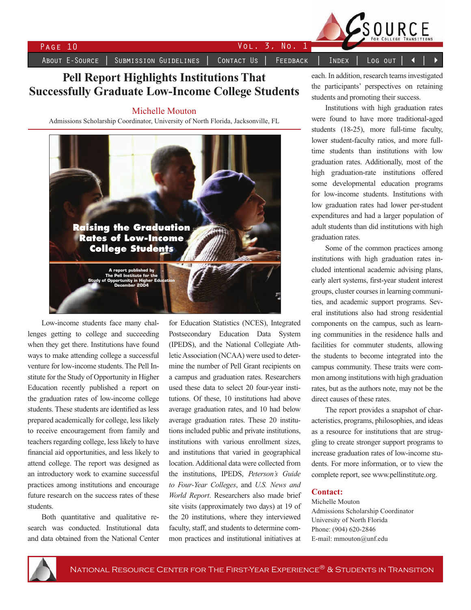

SUBMISSION GUIDELINES

 $\overline{3}$ . CONTACT US FEEDBACK

No.

 $\mathbf{1}$ 

INDEX

VOL.

## **Pell Report Highlights Institutions That Successfully Graduate Low-Income College Students**

### Michelle Mouton

Admissions Scholarship Coordinator, University of North Florida, Jacksonville, FL



Low-income students face many challenges getting to college and succeeding when they get there. Institutions have found ways to make attending college a successful venture for low-income students. The Pell Institute for the Study of Opportunity in Higher Education recently published a report on the graduation rates of low-income college students. These students are identified as less prepared academically for college, less likely to receive encouragement from family and teachers regarding college, less likely to have financial aid opportunities, and less likely to attend college. The report was designed as an introductory work to examine successful practices among institutions and encourage future research on the success rates of these students.

Both quantitative and qualitative research was conducted. Institutional data and data obtained from the National Center for Education Statistics (NCES), Integrated Postsecondary Education Data System (IPEDS), and the National Collegiate Athletic Association (NCAA) were used to determine the number of Pell Grant recipients on a campus and graduation rates. Researchers used these data to select 20 four-year institutions. Of these, 10 institutions had above average graduation rates, and 10 had below average graduation rates. These 20 institutions included public and private institutions, institutions with various enrollment sizes, and institutions that varied in geographical location. Additional data were collected from the institutions. IPEDS. Peterson's Guide to Four-Year Colleges, and U.S. News and World Report. Researchers also made brief site visits (approximately two days) at 19 of the 20 institutions, where they interviewed faculty, staff, and students to determine common practices and institutional initiatives at

each. In addition, research teams investigated the participants' perspectives on retaining students and promoting their success.

Log out

SOURCE

Institutions with high graduation rates were found to have more traditional-aged students (18-25), more full-time faculty, lower student-faculty ratios, and more fulltime students than institutions with low graduation rates. Additionally, most of the high graduation-rate institutions offered some developmental education programs for low-income students. Institutions with low graduation rates had lower per-student expenditures and had a larger population of adult students than did institutions with high graduation rates.

Some of the common practices among institutions with high graduation rates included intentional academic advising plans, early alert systems, first-year student interest groups, cluster courses in learning communities, and academic support programs. Several institutions also had strong residential components on the campus, such as learning communities in the residence halls and facilities for commuter students, allowing the students to become integrated into the campus community. These traits were common among institutions with high graduation rates, but as the authors note, may not be the direct causes of these rates.

The report provides a snapshot of characteristics, programs, philosophies, and ideas as a resource for institutions that are struggling to create stronger support programs to increase graduation rates of low-income students. For more information, or to view the complete report, see www.pellinstitute.org.

### **Contact:**

Michelle Mouton Admissions Scholarship Coordinator University of North Florida Phone: (904) 620-2846 E-mail: mmouton@unf.edu